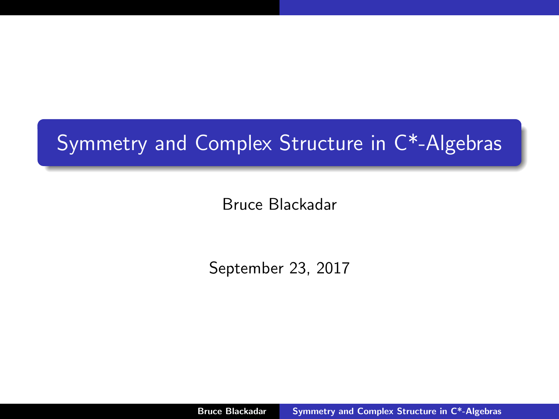# Symmetry and Complex Structure in C\*-Algebras

Bruce Blackadar

September 23, 2017

<span id="page-0-0"></span>Bruce Blackadar [Symmetry and Complex Structure in C\\*-Algebras](#page-65-0)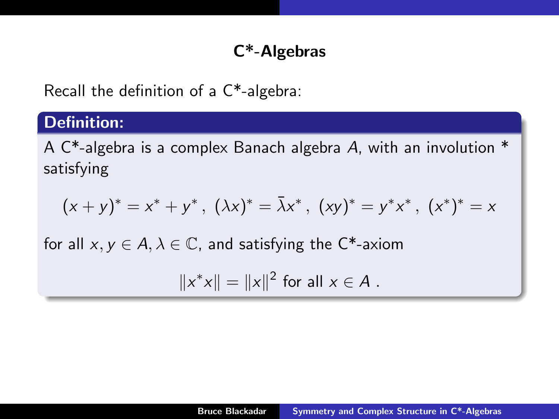# C\*-Algebras

Recall the definition of a C\*-algebra:

# Definition:

A C\*-algebra is a complex Banach algebra A, with an involution \* satisfying

$$
(x + y)^{*} = x^{*} + y^{*}, \ (\lambda x)^{*} = \overline{\lambda}x^{*}, \ (xy)^{*} = y^{*}x^{*}, \ (x^{*})^{*} = x
$$

for all  $x, y \in A, \lambda \in \mathbb{C}$ , and satisfying the C<sup>\*</sup>-axiom

$$
||x^*x|| = ||x||^2
$$
 for all  $x \in A$ .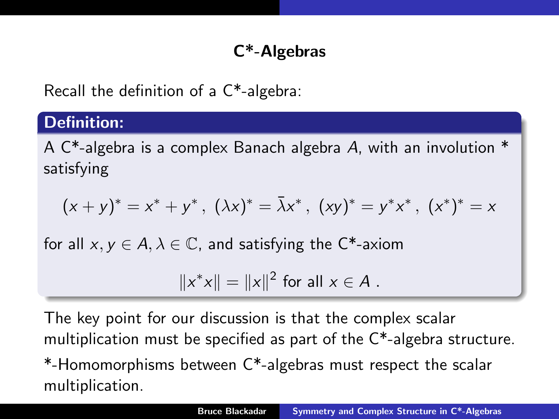# C\*-Algebras

Recall the definition of a C\*-algebra:

# Definition:

A C\*-algebra is a complex Banach algebra A, with an involution \* satisfying

$$
(x + y)^{*} = x^{*} + y^{*}, \ (\lambda x)^{*} = \overline{\lambda}x^{*}, \ (xy)^{*} = y^{*}x^{*}, \ (x^{*})^{*} = x
$$

for all  $x, y \in A, \lambda \in \mathbb{C}$ , and satisfying the C<sup>\*</sup>-axiom

$$
||x^*x|| = ||x||^2
$$
 for all  $x \in A$ .

The key point for our discussion is that the complex scalar multiplication must be specified as part of the C\*-algebra structure.

\*-Homomorphisms between C\*-algebras must respect the scalar multiplication.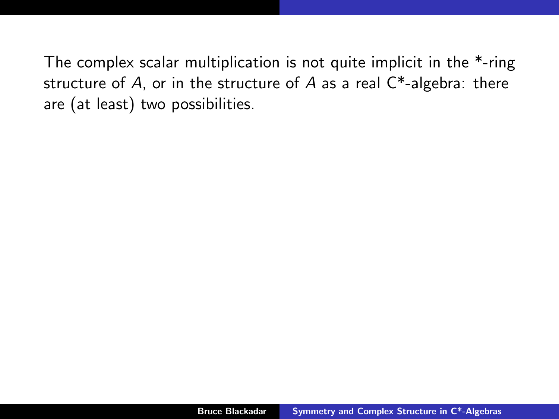The complex scalar multiplication is not quite implicit in the \*-ring structure of  $A$ , or in the structure of  $A$  as a real  $C^*$ -algebra: there are (at least) two possibilities.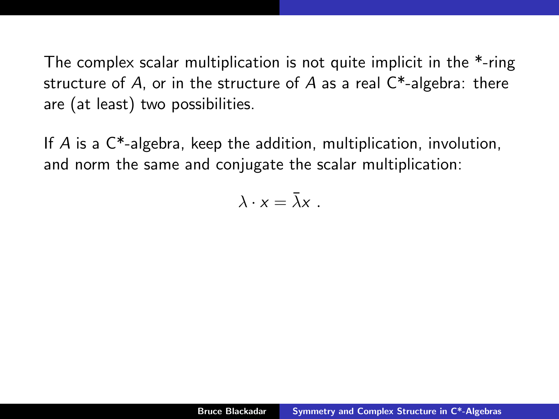The complex scalar multiplication is not quite implicit in the \*-ring structure of A, or in the structure of A as a real  $C^*$ -algebra: there are (at least) two possibilities.

If A is a C\*-algebra, keep the addition, multiplication, involution, and norm the same and conjugate the scalar multiplication:

$$
\lambda\cdot x=\bar\lambda x\ .
$$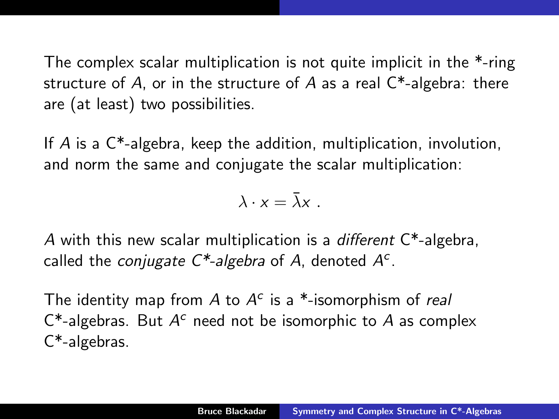The complex scalar multiplication is not quite implicit in the \*-ring structure of A, or in the structure of A as a real  $C^*$ -algebra: there are (at least) two possibilities.

If A is a C\*-algebra, keep the addition, multiplication, involution, and norm the same and conjugate the scalar multiplication:

$$
\lambda\cdot x=\bar\lambda x\ .
$$

A with this new scalar multiplication is a *different*  $C^*$ -algebra, called the *conjugate*  $C^*$ -algebra of A, denoted  $A^c$ .

The identity map from  $A$  to  $A^c$  is a \*-isomorphism of real  $C^*$ -algebras. But  $A^c$  need not be isomorphic to A as complex C\*-algebras.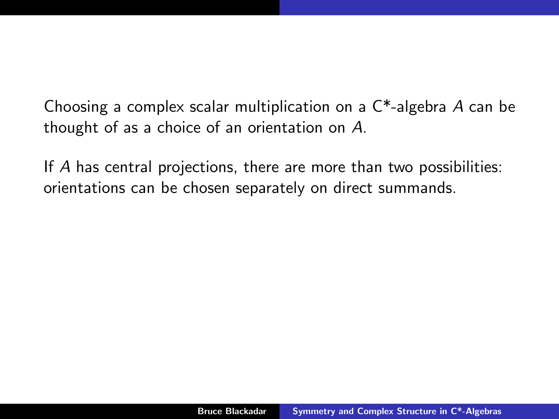Choosing a complex scalar multiplication on a C\*-algebra A can be thought of as a choice of an orientation on A.

If A has central projections, there are more than two possibilities: orientations can be chosen separately on direct summands.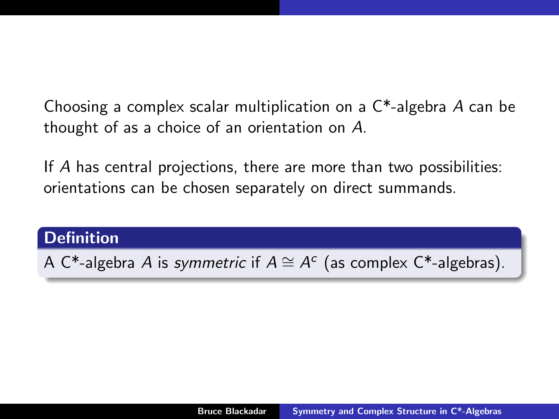Choosing a complex scalar multiplication on a C\*-algebra A can be thought of as a choice of an orientation on A.

If A has central projections, there are more than two possibilities: orientations can be chosen separately on direct summands.

#### **Definition**

A C\*-algebra A is symmetric if  $A \cong A^c$  (as complex C\*-algebras).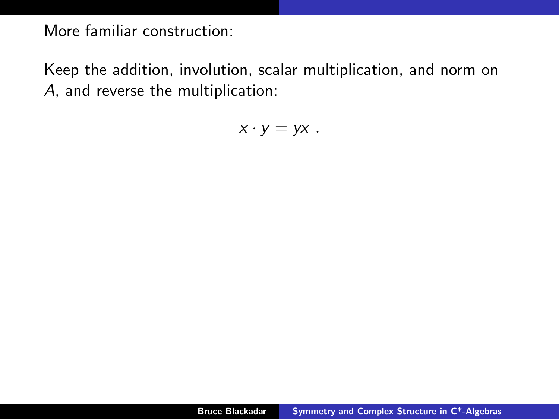Keep the addition, involution, scalar multiplication, and norm on A, and reverse the multiplication:

 $x \cdot y = yx$ .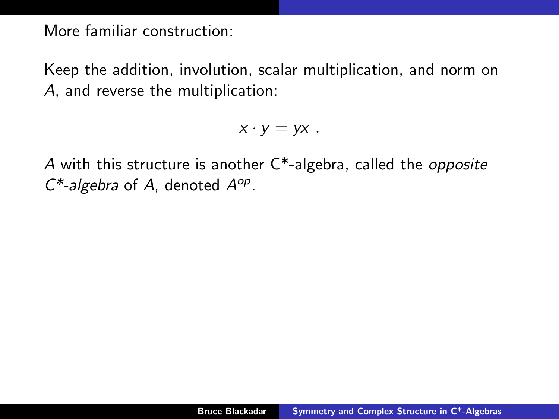Keep the addition, involution, scalar multiplication, and norm on A, and reverse the multiplication:

 $x \cdot y = yx$ .

A with this structure is another  $C^*$ -algebra, called the *opposite*  $C^*$ -algebra of A, denoted  $A^{op}$ .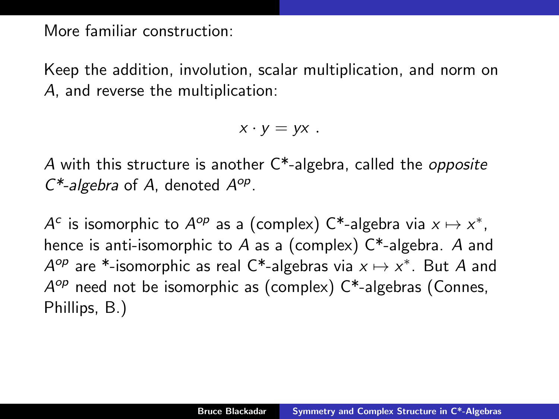Keep the addition, involution, scalar multiplication, and norm on A, and reverse the multiplication:

 $x \cdot v = vx$ .

A with this structure is another  $C^*$ -algebra, called the *opposite*  $C^*$ -algebra of A, denoted  $A^{op}$ .

 $A^c$  is isomorphic to  $A^{op}$  as a (complex)  $C^*$ -algebra via  $x \mapsto x^*$ , hence is anti-isomorphic to A as a (complex)  $C^*$ -algebra. A and  $A^{op}$  are \*-isomorphic as real C\*-algebras via  $x \mapsto x^*$ . But A and A<sup>op</sup> need not be isomorphic as (complex) C\*-algebras (Connes, Phillips, B.)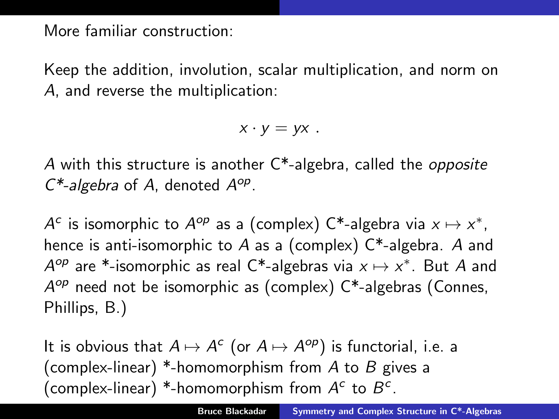Keep the addition, involution, scalar multiplication, and norm on A, and reverse the multiplication:

 $x \cdot v = vx$ .

A with this structure is another  $C^*$ -algebra, called the *opposite*  $C^*$ -algebra of A, denoted  $A^{op}$ .

 $A^c$  is isomorphic to  $A^{op}$  as a (complex)  $C^*$ -algebra via  $x \mapsto x^*$ , hence is anti-isomorphic to A as a (complex)  $C^*$ -algebra. A and  $A^{op}$  are \*-isomorphic as real C\*-algebras via  $x \mapsto x^*$ . But A and A<sup>op</sup> need not be isomorphic as (complex) C\*-algebras (Connes, Phillips, B.)

It is obvious that  $A \mapsto A^c$  (or  $A \mapsto A^{op}$ ) is functorial, i.e. a (complex-linear) \*-homomorphism from A to B gives a (complex-linear) \*-homomorphism from  $A^c$  to  $B^c$ .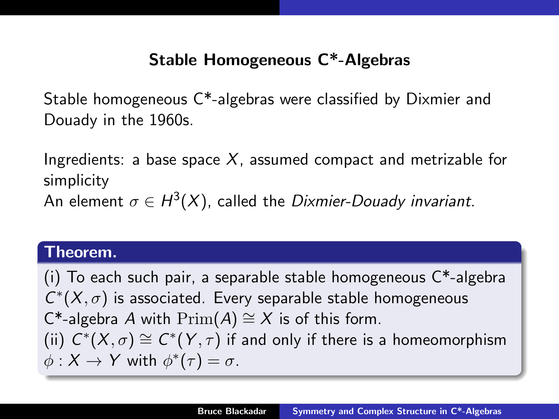# Stable Homogeneous C\*-Algebras

Stable homogeneous C\*-algebras were classified by Dixmier and Douady in the 1960s.

Ingredients: a base space  $X$ , assumed compact and metrizable for simplicity An element  $\sigma \in H^3(X)$ , called the *Dixmier-Douady invariant*.

#### Theorem.

(i) To each such pair, a separable stable homogeneous  $C^*$ -algebra  $C^*(X, \sigma)$  is associated. Every separable stable homogeneous C<sup>\*</sup>-algebra A with  $Prim(A) \cong X$  is of this form. (ii)  $C^*(X,\sigma) \cong C^*(Y,\tau)$  if and only if there is a homeomorphism  $\phi: X \to Y$  with  $\phi^*(\tau) = \sigma$ .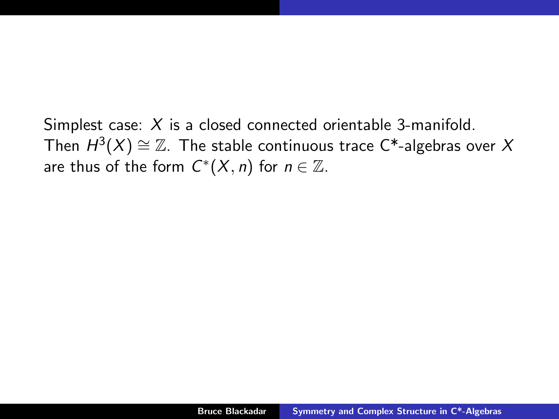Simplest case: X is a closed connected orientable 3-manifold. Then  $H^3(X)\cong \mathbb{Z}$ . The stable continuous trace C\*-algebras over  $X$ are thus of the form  $C^*(X, n)$  for  $n \in \mathbb{Z}$ .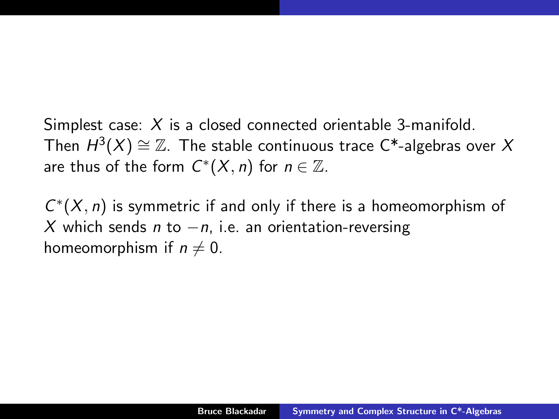Simplest case: X is a closed connected orientable 3-manifold. Then  $H^3(X)\cong \mathbb{Z}$ . The stable continuous trace C\*-algebras over  $X$ are thus of the form  $C^*(X, n)$  for  $n \in \mathbb{Z}$ .

 $C^*(X, n)$  is symmetric if and only if there is a homeomorphism of X which sends n to  $-n$ , i.e. an orientation-reversing homeomorphism if  $n \neq 0$ .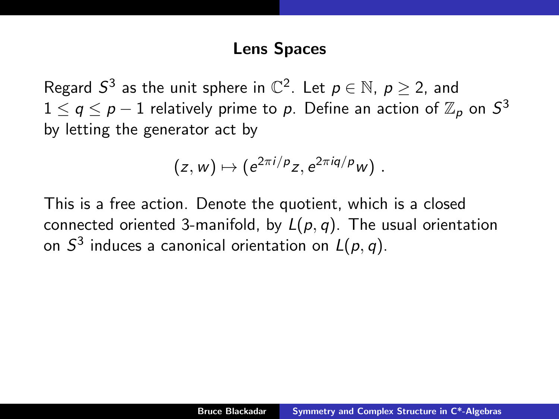## Lens Spaces

Regard  $S^3$  as the unit sphere in  $\mathbb{C}^2$ . Let  $p \in \mathbb{N}$ ,  $p \ge 2$ , and  $1\leq q\leq p-1$  relatively prime to  $p.$  Define an action of  $\mathbb{Z}_p$  on  $S^3$ by letting the generator act by

$$
(z,w)\mapsto (e^{2\pi i/p}z,e^{2\pi i q/p}w)\ .
$$

This is a free action. Denote the quotient, which is a closed connected oriented 3-manifold, by  $L(p, q)$ . The usual orientation on  $S^3$  induces a canonical orientation on  $L(p,q).$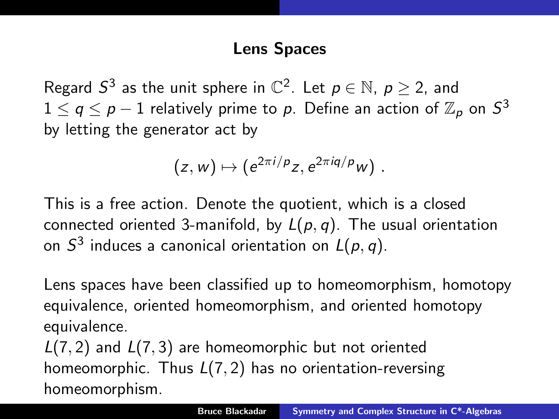# Lens Spaces

Regard  $S^3$  as the unit sphere in  $\mathbb{C}^2$ . Let  $p \in \mathbb{N}$ ,  $p \ge 2$ , and  $1\leq q\leq p-1$  relatively prime to  $p.$  Define an action of  $\mathbb{Z}_p$  on  $S^3$ by letting the generator act by

$$
(z,w)\mapsto (e^{2\pi i/p}z,e^{2\pi iq/p}w)\ .
$$

This is a free action. Denote the quotient, which is a closed connected oriented 3-manifold, by  $L(p, q)$ . The usual orientation on  $S^3$  induces a canonical orientation on  $L(p,q).$ 

Lens spaces have been classified up to homeomorphism, homotopy equivalence, oriented homeomorphism, and oriented homotopy equivalence.

 $L(7, 2)$  and  $L(7, 3)$  are homeomorphic but not oriented homeomorphic. Thus  $L(7, 2)$  has no orientation-reversing homeomorphism.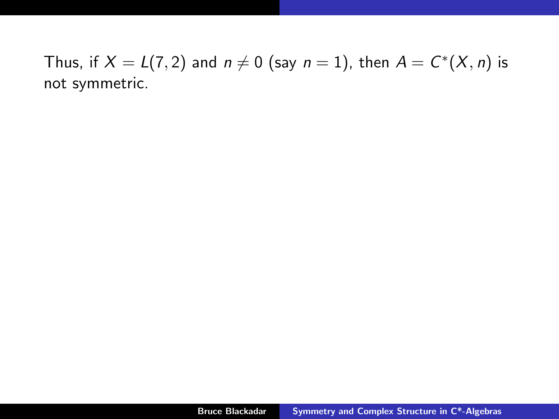Thus, if  $X = L(7,2)$  and  $n \neq 0$  (say  $n = 1$ ), then  $A = C^*(X, n)$  is not symmetric.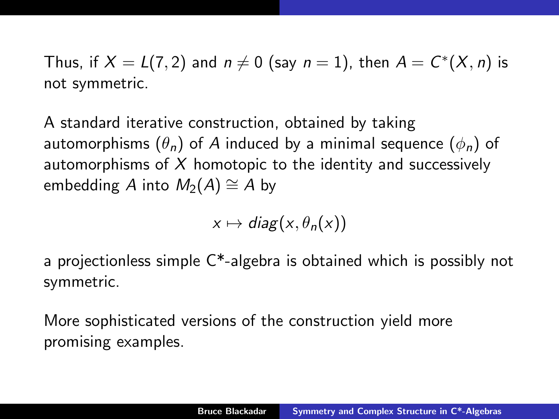Thus, if  $X = L(7,2)$  and  $n \neq 0$  (say  $n = 1$ ), then  $A = C^*(X, n)$  is not symmetric.

A standard iterative construction, obtained by taking automorphisms  $(\theta_n)$  of A induced by a minimal sequence  $(\phi_n)$  of automorphisms of  $X$  homotopic to the identity and successively embedding A into  $M_2(A) \cong A$  by

$$
x \mapsto diag(x, \theta_n(x))
$$

a projectionless simple C\*-algebra is obtained which is possibly not symmetric.

More sophisticated versions of the construction yield more promising examples.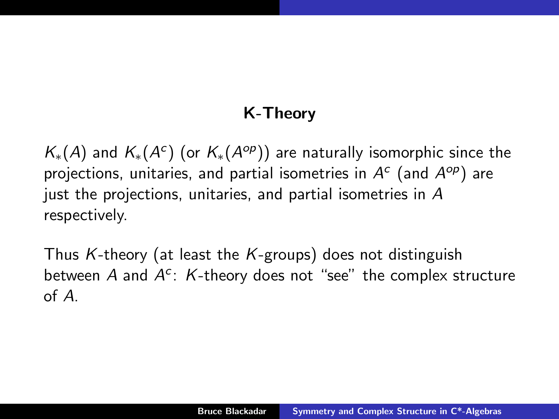# K-Theory

 $\mathcal{K}_{*}(A)$  and  $\mathcal{K}_{*}(A^{c})$  (or  $\mathcal{K}_{*}(A^{op})$ ) are naturally isomorphic since the projections, unitaries, and partial isometries in  $A^c$  (and  $A^{op}$ ) are just the projections, unitaries, and partial isometries in A respectively.

Thus K-theory (at least the K-groups) does not distinguish between  $A$  and  $A^c$ :  $K$ -theory does not "see" the complex structure of A.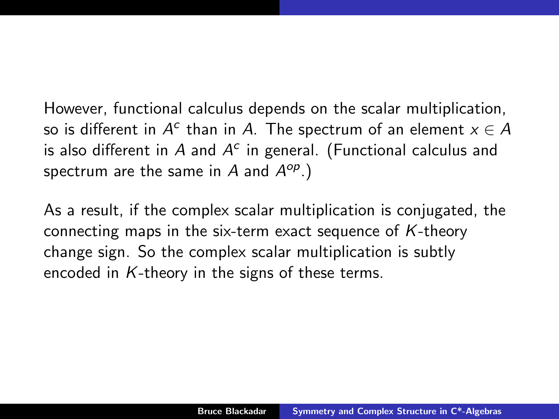However, functional calculus depends on the scalar multiplication, so is different in  $A^c$  than in  $A$ . The spectrum of an element  $x \in A$ is also different in  $A$  and  $A^c$  in general. (Functional calculus and spectrum are the same in  $A$  and  $A^{op}$ .)

As a result, if the complex scalar multiplication is conjugated, the connecting maps in the six-term exact sequence of  $K$ -theory change sign. So the complex scalar multiplication is subtly encoded in  $K$ -theory in the signs of these terms.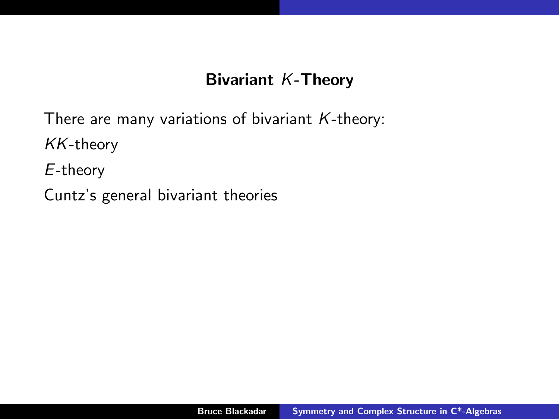# Bivariant K-Theory

There are many variations of bivariant  $K$ -theory:

KK-theory

E-theory

Cuntz's general bivariant theories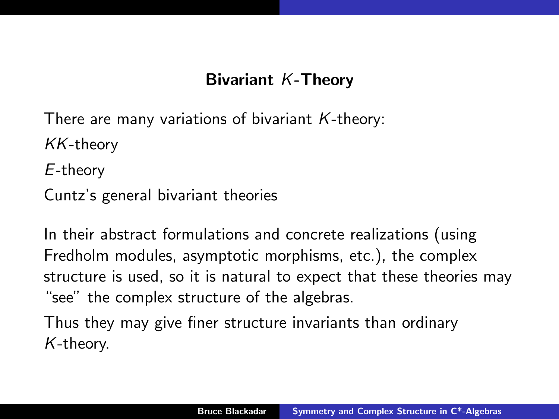# Bivariant K-Theory

There are many variations of bivariant  $K$ -theory:

KK-theory

E-theory

Cuntz's general bivariant theories

In their abstract formulations and concrete realizations (using Fredholm modules, asymptotic morphisms, etc.), the complex structure is used, so it is natural to expect that these theories may "see" the complex structure of the algebras.

Thus they may give finer structure invariants than ordinary K-theory.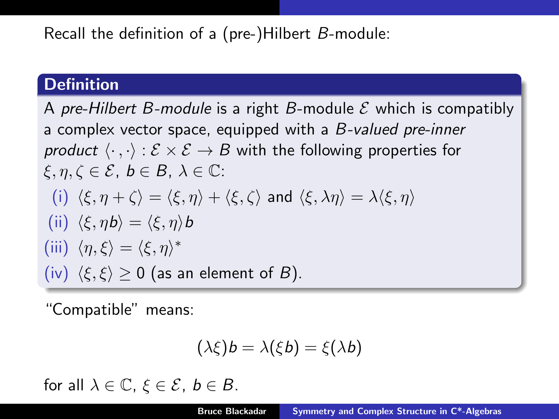Recall the definition of a (pre-)Hilbert B-module:

#### **Definition**

A pre-Hilbert B-module is a right B-module  $\mathcal E$  which is compatibly a complex vector space, equipped with a B-valued pre-inner product  $\langle \cdot , \cdot \rangle : \mathcal{E} \times \mathcal{E} \rightarrow B$  with the following properties for  $\xi, \eta, \zeta \in \mathcal{E}, b \in B, \lambda \in \mathbb{C}$ : (i)  $\langle \xi, \eta + \zeta \rangle = \langle \xi, \eta \rangle + \langle \xi, \zeta \rangle$  and  $\langle \xi, \lambda \eta \rangle = \lambda \langle \xi, \eta \rangle$ (ii)  $\langle \xi, \eta b \rangle = \langle \xi, \eta \rangle b$ (iii)  $\langle \eta, \xi \rangle = \langle \xi, \eta \rangle^*$ (iv)  $\langle \xi, \xi \rangle \ge 0$  (as an element of B).

"Compatible" means:

$$
(\lambda \xi)b = \lambda(\xi b) = \xi(\lambda b)
$$

for all  $\lambda \in \mathbb{C}$ ,  $\xi \in \mathcal{E}$ ,  $b \in B$ .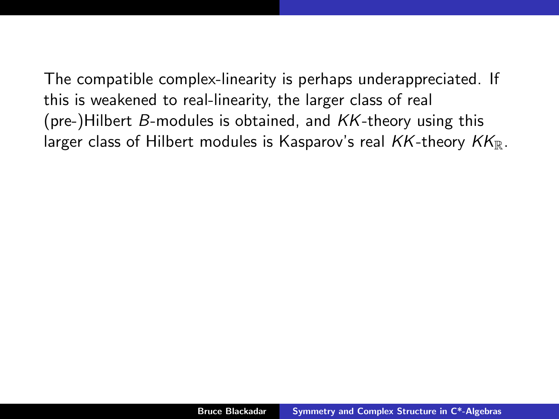The compatible complex-linearity is perhaps underappreciated. If this is weakened to real-linearity, the larger class of real (pre-)Hilbert  $B$ -modules is obtained, and  $KK$ -theory using this larger class of Hilbert modules is Kasparov's real  $KK$ -theory  $KK_{\mathbb{R}}$ .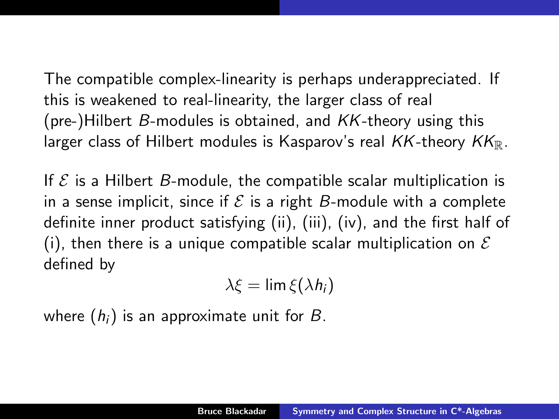The compatible complex-linearity is perhaps underappreciated. If this is weakened to real-linearity, the larger class of real (pre-)Hilbert  $B$ -modules is obtained, and  $KK$ -theory using this larger class of Hilbert modules is Kasparov's real  $KK$ -theory  $KK_{\mathbb{R}}$ .

If  $\mathcal E$  is a Hilbert B-module, the compatible scalar multiplication is in a sense implicit, since if  $\mathcal E$  is a right B-module with a complete definite inner product satisfying (ii), (iii), (iv), and the first half of (i), then there is a unique compatible scalar multiplication on  $\mathcal E$ defined by

$$
\lambda \xi = \lim \xi(\lambda h_i)
$$

where  $(h_i)$  is an approximate unit for B.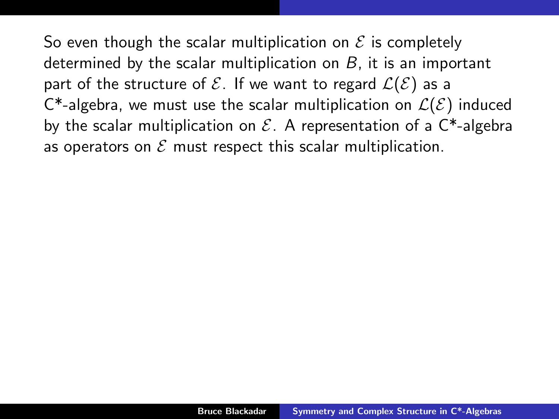So even though the scalar multiplication on  $\mathcal E$  is completely determined by the scalar multiplication on  $B$ , it is an important part of the structure of  $\mathcal{E}$ . If we want to regard  $\mathcal{L}(\mathcal{E})$  as a C<sup>\*</sup>-algebra, we must use the scalar multiplication on  $\mathcal{L}(\mathcal{E})$  induced by the scalar multiplication on  $\mathcal{E}$ . A representation of a  $\mathsf{C}^*$ -algebra as operators on  $\mathcal E$  must respect this scalar multiplication.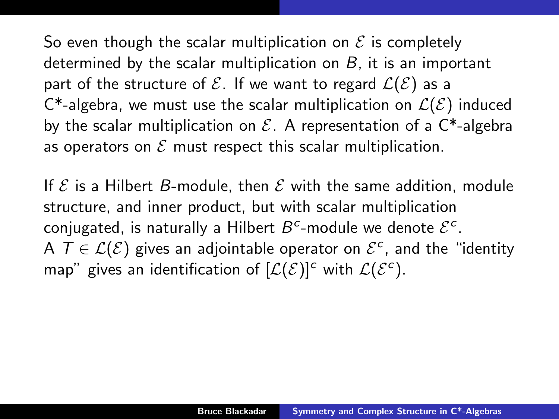So even though the scalar multiplication on  $\mathcal E$  is completely determined by the scalar multiplication on  $B$ , it is an important part of the structure of  $\mathcal{E}$ . If we want to regard  $\mathcal{L}(\mathcal{E})$  as a C<sup>\*</sup>-algebra, we must use the scalar multiplication on  $\mathcal{L}(\mathcal{E})$  induced by the scalar multiplication on  $\mathcal{E}$ . A representation of a  $\mathsf{C}^*$ -algebra as operators on  $\mathcal E$  must respect this scalar multiplication.

If  $\mathcal E$  is a Hilbert B-module, then  $\mathcal E$  with the same addition, module structure, and inner product, but with scalar multiplication conjugated, is naturally a Hilbert  $B^c$ -module we denote  $\mathcal{E}^c$ . A  $T \in \mathcal{L}(\mathcal{E})$  gives an adjointable operator on  $\mathcal{E}^c$ , and the "identity map" gives an identification of  $[\mathcal{L}(\mathcal{E})]^c$  with  $\mathcal{L}(\mathcal{E}^c)$ .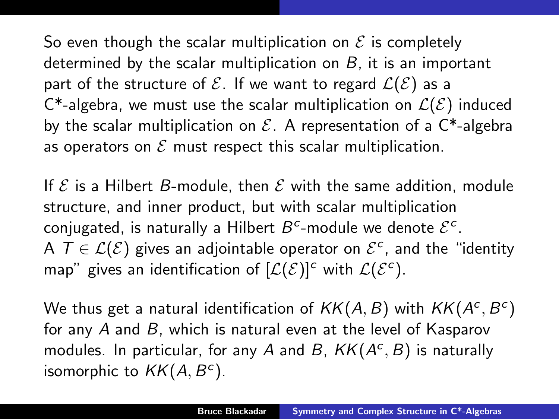So even though the scalar multiplication on  $\mathcal E$  is completely determined by the scalar multiplication on  $B$ , it is an important part of the structure of  $\mathcal{E}$ . If we want to regard  $\mathcal{L}(\mathcal{E})$  as a C<sup>\*</sup>-algebra, we must use the scalar multiplication on  $\mathcal{L}(\mathcal{E})$  induced by the scalar multiplication on  $\mathcal{E}$ . A representation of a  $\mathsf{C}^*$ -algebra as operators on  $\mathcal E$  must respect this scalar multiplication.

If  $\mathcal E$  is a Hilbert B-module, then  $\mathcal E$  with the same addition, module structure, and inner product, but with scalar multiplication conjugated, is naturally a Hilbert  $B^c$ -module we denote  $\mathcal{E}^c$ . A  $T \in \mathcal{L}(\mathcal{E})$  gives an adjointable operator on  $\mathcal{E}^c$ , and the "identity map" gives an identification of  $[\mathcal{L}(\mathcal{E})]^c$  with  $\mathcal{L}(\mathcal{E}^c)$ .

We thus get a natural identification of  $\mathit{KK}(A,B)$  with  $\mathit{KK}(A^c,B^c)$ for any A and B, which is natural even at the level of Kasparov modules. In particular, for any A and B,  $KK(A^c, B)$  is naturally isomorphic to  $KK(A, B^c)$ .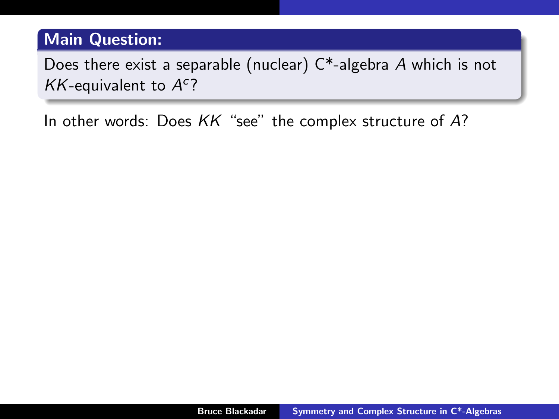# Main Question:

Does there exist a separable (nuclear)  $C^*$ -algebra A which is not  $KK$ -equivalent to  $A<sup>c</sup>$ ?

In other words: Does KK "see" the complex structure of A?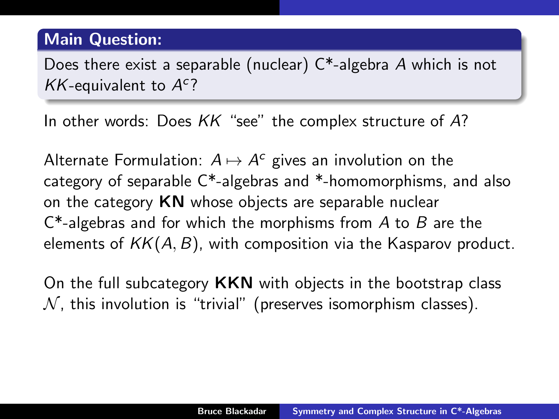## Main Question:

Does there exist a separable (nuclear) C\*-algebra A which is not  $KK$ -equivalent to  $A<sup>c</sup>$ ?

In other words: Does KK "see" the complex structure of A?

Alternate Formulation:  $A \mapsto A^c$  gives an involution on the category of separable C\*-algebras and \*-homomorphisms, and also on the category  $KN$  whose objects are separable nuclear  $C^*$ -algebras and for which the morphisms from A to B are the elements of  $KK(A, B)$ , with composition via the Kasparov product.

On the full subcategory **KKN** with objects in the bootstrap class  $N$ , this involution is "trivial" (preserves isomorphism classes).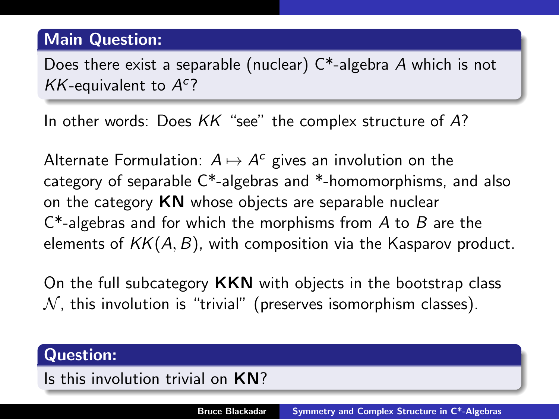## Main Question:

Does there exist a separable (nuclear)  $C^*$ -algebra A which is not  $KK$ -equivalent to  $A<sup>c</sup>$ ?

In other words: Does KK "see" the complex structure of A?

Alternate Formulation:  $A \mapsto A^c$  gives an involution on the category of separable C\*-algebras and \*-homomorphisms, and also on the category  $KN$  whose objects are separable nuclear  $C^*$ -algebras and for which the morphisms from A to B are the elements of  $KK(A, B)$ , with composition via the Kasparov product.

On the full subcategory **KKN** with objects in the bootstrap class  $N$ , this involution is "trivial" (preserves isomorphism classes).

#### Question:

Is this involution trivial on KN?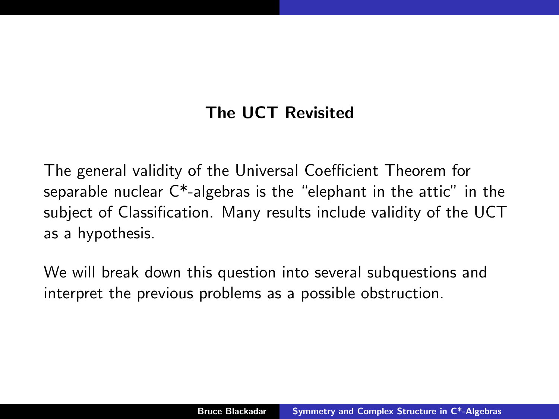# The UCT Revisited

The general validity of the Universal Coefficient Theorem for separable nuclear C\*-algebras is the "elephant in the attic" in the subject of Classification. Many results include validity of the UCT as a hypothesis.

We will break down this question into several subquestions and interpret the previous problems as a possible obstruction.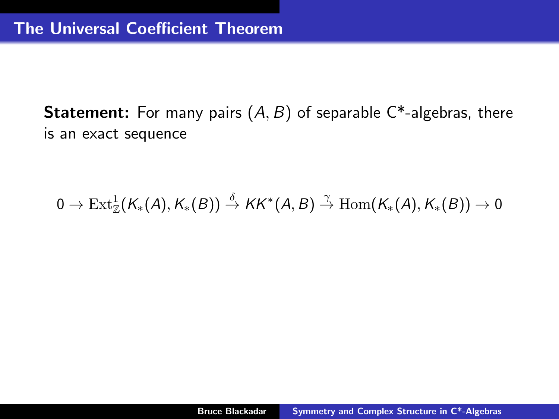**Statement:** For many pairs  $(A, B)$  of separable  $C^*$ -algebras, there is an exact sequence

 $0 \to \operatorname{Ext}^1_\mathbb{Z} (K_*(A), K_*(B)) \stackrel{\delta}{\to} KK^*(A,B) \stackrel{\gamma}{\to} \operatorname{Hom} (K_*(A), K_*(B)) \to 0$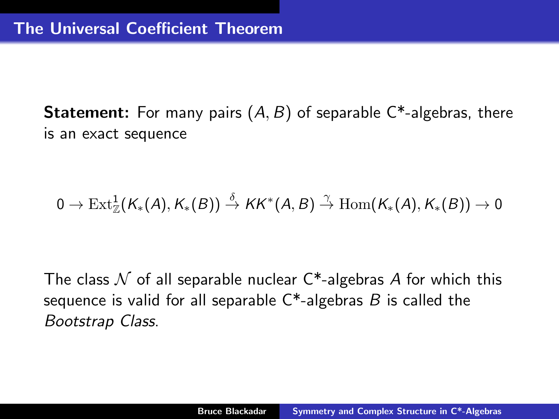**Statement:** For many pairs  $(A, B)$  of separable  $C^*$ -algebras, there is an exact sequence

$$
0 \to \operatorname{Ext}^1_{\mathbb{Z}}(K_*(A),K_*(B)) \stackrel{\delta}{\to} KK^*(A,B) \stackrel{\gamma}{\to} \operatorname{Hom}(K_*(A),K_*(B)) \to 0
$$

The class  $\mathcal N$  of all separable nuclear C\*-algebras A for which this sequence is valid for all separable  $C^*$ -algebras B is called the Bootstrap Class.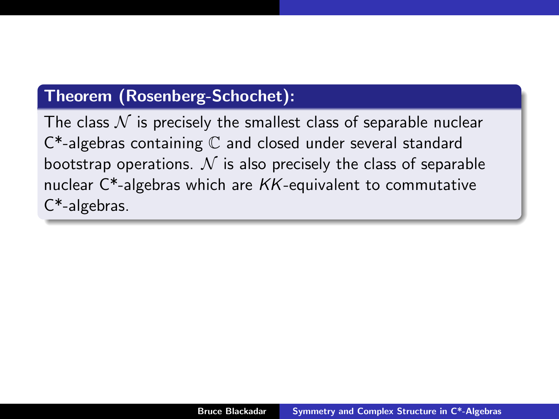# Theorem (Rosenberg-Schochet):

The class  $\mathcal N$  is precisely the smallest class of separable nuclear C\*-algebras containing C and closed under several standard bootstrap operations.  $\mathcal N$  is also precisely the class of separable nuclear  $C^*$ -algebras which are  $KK$ -equivalent to commutative C\*-algebras.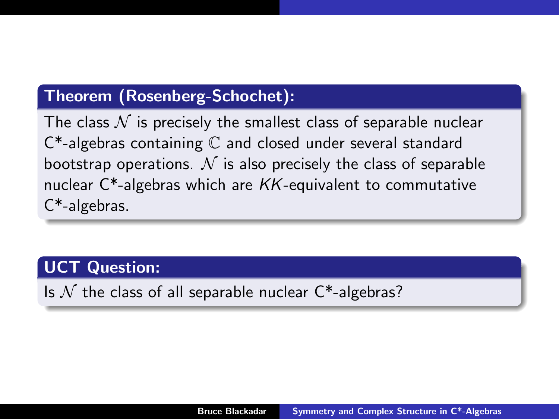# Theorem (Rosenberg-Schochet):

The class  $\mathcal N$  is precisely the smallest class of separable nuclear C\*-algebras containing C and closed under several standard bootstrap operations.  $N$  is also precisely the class of separable nuclear  $C^*$ -algebras which are  $KK$ -equivalent to commutative C\*-algebras.

# UCT Question:

Is  $N$  the class of all separable nuclear  $C^*$ -algebras?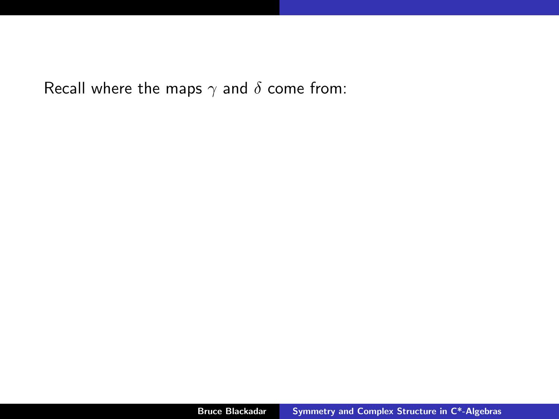Recall where the maps  $\gamma$  and  $\delta$  come from: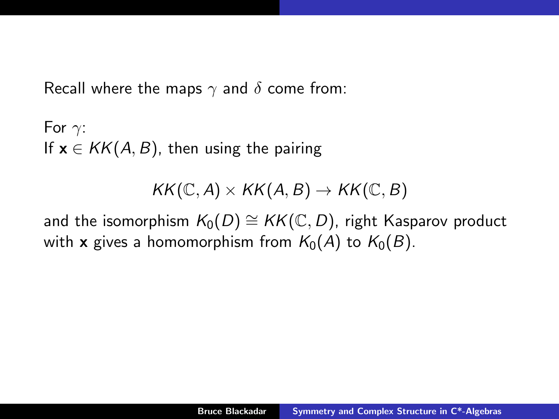Recall where the maps  $\gamma$  and  $\delta$  come from:

For  $\gamma$ : If  $x \in KK(A, B)$ , then using the pairing

 $KK(\mathbb{C}, A) \times KK(A, B) \rightarrow KK(\mathbb{C}, B)$ 

and the isomorphism  $K_0(D) \cong KK(\mathbb{C}, D)$ , right Kasparov product with x gives a homomorphism from  $K_0(A)$  to  $K_0(B)$ .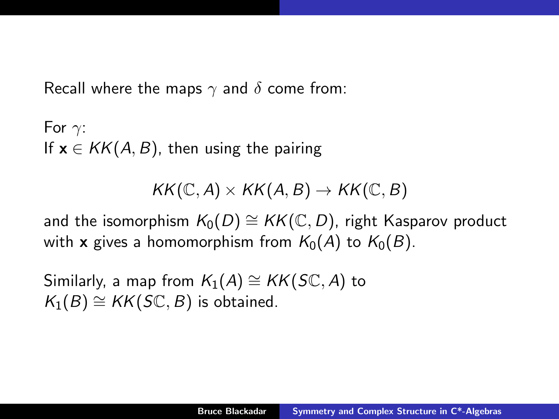Recall where the maps  $\gamma$  and  $\delta$  come from:

For  $\gamma$ : If  $x \in KK(A, B)$ , then using the pairing

 $KK(\mathbb{C}, A) \times KK(A, B) \rightarrow KK(\mathbb{C}, B)$ 

and the isomorphism  $K_0(D) \cong KK(\mathbb{C}, D)$ , right Kasparov product with x gives a homomorphism from  $K_0(A)$  to  $K_0(B)$ .

Similarly, a map from  $K_1(A) \cong KK(\mathcal{S}\mathbb{C}, A)$  to  $K_1(B) \cong KK(S\mathbb{C}, B)$  is obtained.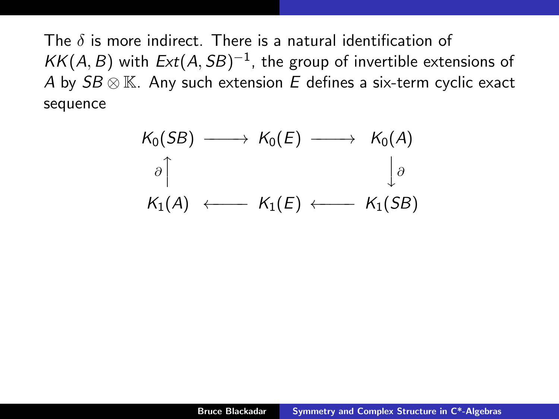The  $\delta$  is more indirect. There is a natural identification of  $KK(A, B)$  with  $Ext(A, SB)^{-1}$ , the group of invertible extensions of A by  $SB \otimes \mathbb{K}$ . Any such extension E defines a six-term cyclic exact sequence

$$
K_0(SB) \longrightarrow K_0(E) \longrightarrow K_0(A)
$$
  
\n
$$
\partial \uparrow \qquad \qquad \downarrow \partial
$$
  
\n
$$
K_1(A) \longleftarrow K_1(E) \longleftarrow K_1(SB)
$$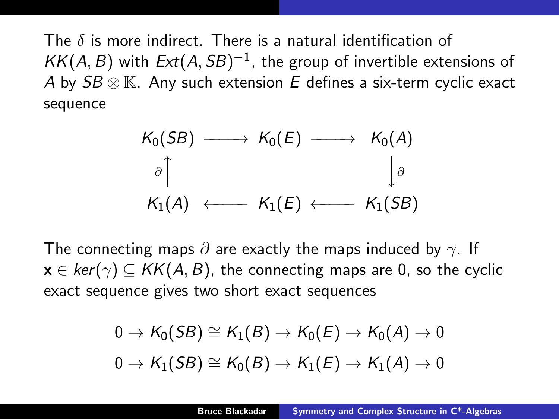The  $\delta$  is more indirect. There is a natural identification of  $KK(A, B)$  with  $Ext(A, SB)^{-1}$ , the group of invertible extensions of A by  $SB \otimes \mathbb{K}$ . Any such extension E defines a six-term cyclic exact sequence

$$
K_0(SB) \longrightarrow K_0(E) \longrightarrow K_0(A)
$$
  
\n
$$
\partial \uparrow \qquad \qquad \downarrow \partial
$$
  
\n
$$
K_1(A) \longleftarrow K_1(E) \longleftarrow K_1(SB)
$$

The connecting maps  $\partial$  are exactly the maps induced by  $\gamma$ . If  $x \in \text{ker}(\gamma) \subset \text{KK}(A, B)$ , the connecting maps are 0, so the cyclic exact sequence gives two short exact sequences

$$
0 \to K_0(SB) \cong K_1(B) \to K_0(E) \to K_0(A) \to 0
$$
  

$$
0 \to K_1(SB) \cong K_0(B) \to K_1(E) \to K_1(A) \to 0
$$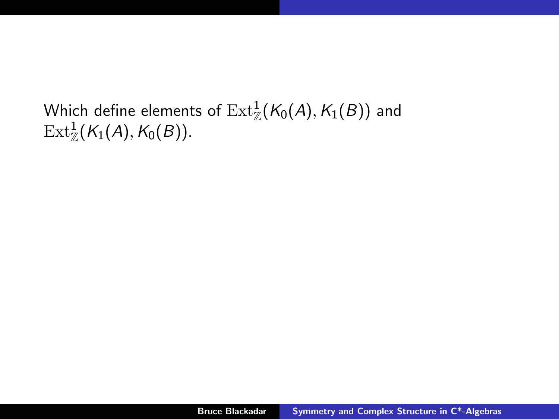Which define elements of  $\operatorname{Ext}^1_\mathbb{Z}(\mathcal{K}_0(A),\mathcal{K}_1(B))$  and  $\operatorname{Ext}^1_\mathbb{Z}(\mathcal{K}_1(A),\mathcal{K}_0(B)).$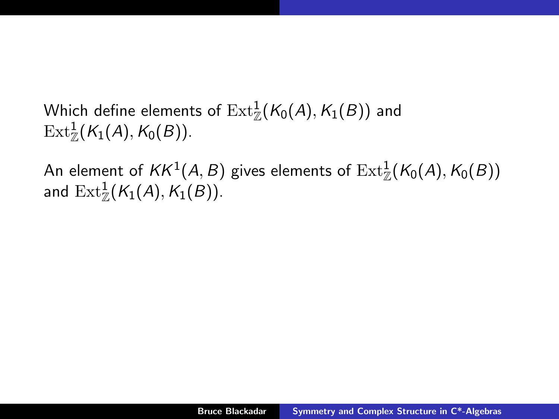Which define elements of  $\operatorname{Ext}^1_\mathbb{Z}(\mathcal{K}_0(A),\mathcal{K}_1(B))$  and  $\operatorname{Ext}^1_\mathbb{Z}(\mathcal{K}_1(A),\mathcal{K}_0(B)).$ 

An element of  $\mathit{KK}^{1}(A,B)$  gives elements of  $\mathrm{Ext}^{1}_{\mathbb{Z}}(\mathcal{K}_{0}(A),\mathcal{K}_{0}(B))$ and  $\operatorname{Ext}^1_\mathbb{Z}(\mathcal{K}_1(\mathcal{A}),\mathcal{K}_1(\mathcal{B})).$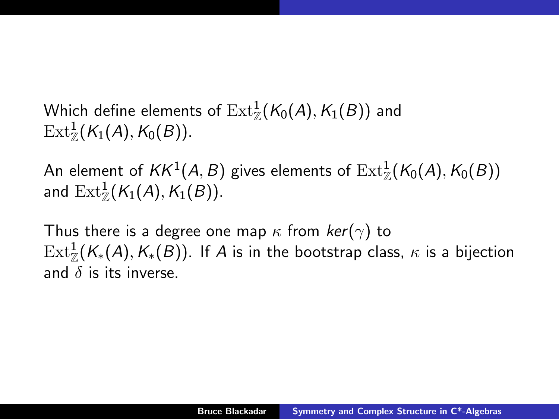Which define elements of  $\operatorname{Ext}^1_\mathbb{Z}(\mathcal{K}_0(A),\mathcal{K}_1(B))$  and  $\operatorname{Ext}^1_\mathbb{Z}(\mathcal{K}_1(A),\mathcal{K}_0(B)).$ 

An element of  $\mathit{KK}^{1}(A,B)$  gives elements of  $\mathrm{Ext}^{1}_{\mathbb{Z}}(\mathcal{K}_{0}(A),\mathcal{K}_{0}(B))$ and  $\operatorname{Ext}^1_\mathbb{Z}(\mathcal{K}_1(\mathcal{A}),\mathcal{K}_1(\mathcal{B})).$ 

Thus there is a degree one map  $\kappa$  from  $ker(\gamma)$  to  $\operatorname{Ext}^1_\mathbb{Z}(\mathcal{K}_*(A),\mathcal{K}_*(B)).$  If  $A$  is in the bootstrap class,  $\kappa$  is a bijection and  $\delta$  is its inverse.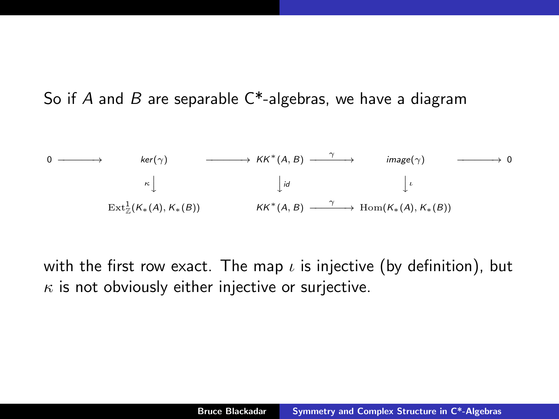So if A and B are separable  $C^*$ -algebras, we have a diagram

$$
0 \longrightarrow \text{ker}(\gamma) \longrightarrow \text{KK}^*(A, B) \longrightarrow \text{image}(\gamma) \longrightarrow 0
$$
  
\n
$$
\kappa \downarrow \qquad \qquad \downarrow id \qquad \qquad \downarrow \iota
$$
  
\n
$$
\text{Ext}^1_Z(K_*(A), K_*(B)) \longrightarrow \text{KK}^*(A, B) \longrightarrow \text{Hom}(K_*(A), K_*(B))
$$

with the first row exact. The map  $\iota$  is injective (by definition), but  $\kappa$  is not obviously either injective or surjective.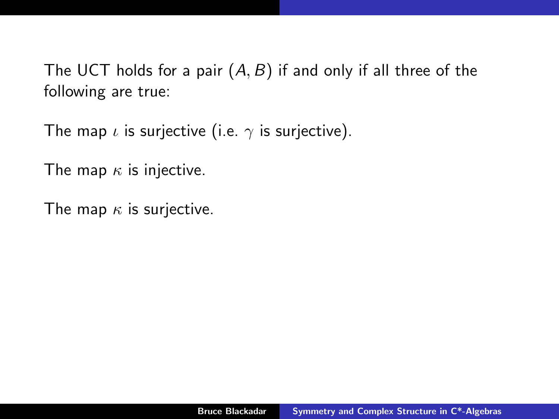The UCT holds for a pair  $(A, B)$  if and only if all three of the following are true:

The map  $\iota$  is surjective (i.e.  $\gamma$  is surjective).

The map  $\kappa$  is injective.

The map  $\kappa$  is surjective.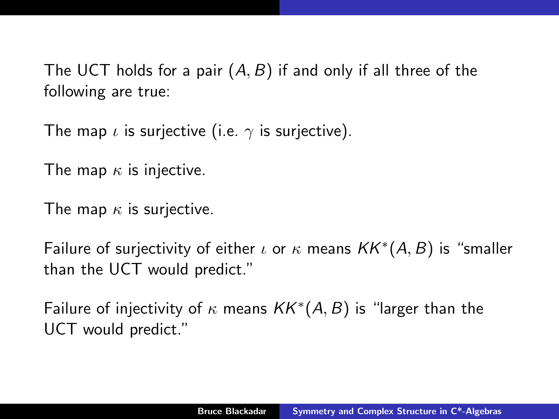The UCT holds for a pair  $(A, B)$  if and only if all three of the following are true:

The map  $\iota$  is surjective (i.e.  $\gamma$  is surjective).

The map  $\kappa$  is injective.

The map  $\kappa$  is surjective.

Failure of surjectivity of either  $\iota$  or  $\kappa$  means  $\mathit{KK}^*(A, B)$  is "smaller than the UCT would predict."

Failure of injectivity of  $\kappa$  means  $KK^*(A,B)$  is "larger than the UCT would predict."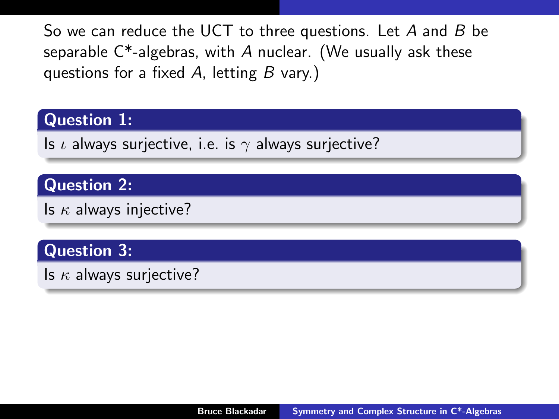So we can reduce the UCT to three questions. Let  $A$  and  $B$  be separable  $C^*$ -algebras, with A nuclear. (We usually ask these questions for a fixed  $A$ , letting  $B$  vary.)

#### Question 1:

Is  $\iota$  always surjective, i.e. is  $\gamma$  always surjective?

#### Question 2:

Is  $\kappa$  always injective?

# Question 3:

Is  $\kappa$  always surjective?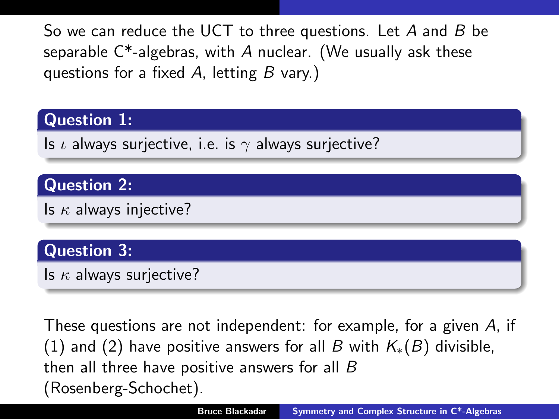So we can reduce the UCT to three questions. Let A and B be separable  $C^*$ -algebras, with A nuclear. (We usually ask these questions for a fixed  $A$ , letting  $B$  vary.)

# Question 1:

Is  $\iota$  always surjective, i.e. is  $\gamma$  always surjective?

# Question 2:

Is  $\kappa$  always injective?

# Question 3:

Is  $\kappa$  always surjective?

These questions are not independent: for example, for a given A, if (1) and (2) have positive answers for all B with  $K_*(B)$  divisible, then all three have positive answers for all B (Rosenberg-Schochet).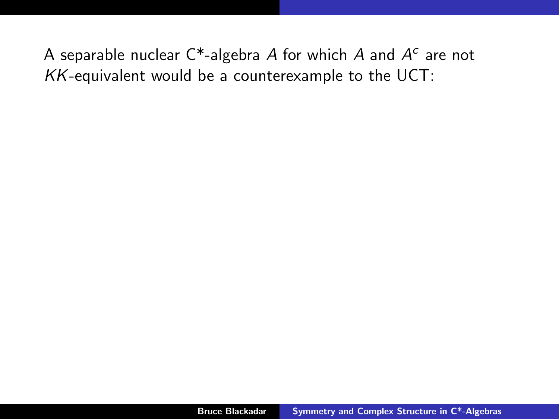A separable nuclear C\*-algebra  $A$  for which  $A$  and  $A^c$  are not  $KK$ -equivalent would be a counterexample to the UCT: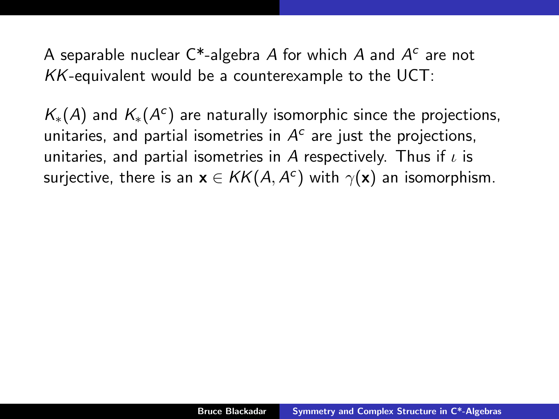A separable nuclear C\*-algebra  $A$  for which  $A$  and  $A^c$  are not  $KK$ -equivalent would be a counterexample to the UCT:

 $\mathcal{K}_{*}(A)$  and  $\mathcal{K}_{*}(A^{c})$  are naturally isomorphic since the projections, unitaries, and partial isometries in  $A<sup>c</sup>$  are just the projections, unitaries, and partial isometries in A respectively. Thus if  $\iota$  is surjective, there is an  $\mathbf{x} \in \mathcal{KK}(A,A^c)$  with  $\gamma(\mathbf{x})$  an isomorphism.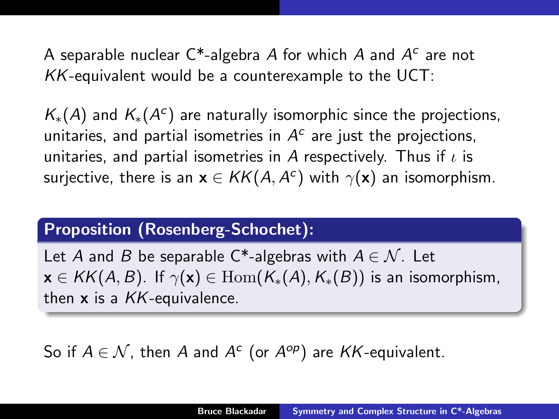A separable nuclear C\*-algebra  $A$  for which  $A$  and  $A^c$  are not  $KK$ -equivalent would be a counterexample to the UCT:

 $\mathcal{K}_{*}(A)$  and  $\mathcal{K}_{*}(A^{c})$  are naturally isomorphic since the projections, unitaries, and partial isometries in  $A<sup>c</sup>$  are just the projections, unitaries, and partial isometries in A respectively. Thus if  $\iota$  is surjective, there is an  $\mathbf{x} \in \mathcal{KK}(A,A^c)$  with  $\gamma(\mathbf{x})$  an isomorphism.

#### Proposition (Rosenberg-Schochet):

Let A and B be separable C<sup>\*</sup>-algebras with  $A \in \mathcal{N}$ . Let  $\mathbf{x} \in KK(A, B)$ . If  $\gamma(\mathbf{x}) \in \text{Hom}(K_*(A), K_*(B))$  is an isomorphism, then  $x$  is a  $KK$ -equivalence.

# So if  $A \in \mathcal{N}$ , then A and  $A^c$  (or  $A^{op}$ ) are KK-equivalent.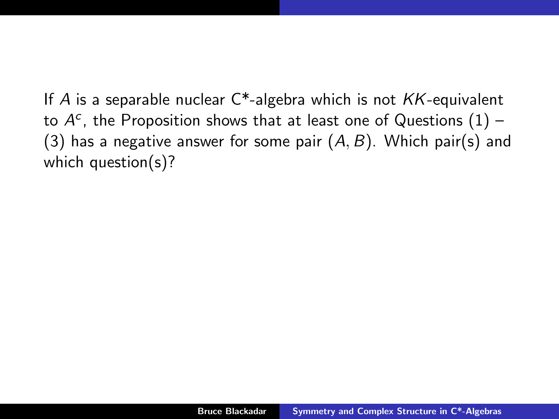If A is a separable nuclear  $C^*$ -algebra which is not  $KK$ -equivalent to  $A^c$ , the Proposition shows that at least one of Questions  $(1)$  – (3) has a negative answer for some pair  $(A, B)$ . Which pair(s) and which question(s)?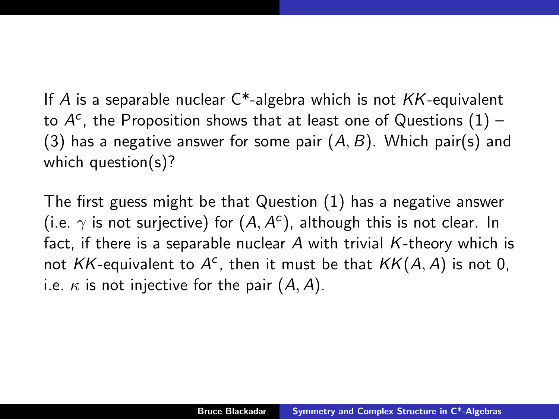If A is a separable nuclear  $C^*$ -algebra which is not  $KK$ -equivalent to  $A^c$ , the Proposition shows that at least one of Questions  $(1)$  – (3) has a negative answer for some pair  $(A, B)$ . Which pair(s) and which question(s)?

The first guess might be that Question (1) has a negative answer (i.e.  $\gamma$  is not surjective) for  $(A, A^c)$ , although this is not clear. In fact, if there is a separable nuclear  $A$  with trivial  $K$ -theory which is not KK-equivalent to  $A^c$ , then it must be that  $KK(A, A)$  is not 0, i.e.  $\kappa$  is not injective for the pair  $(A, A)$ .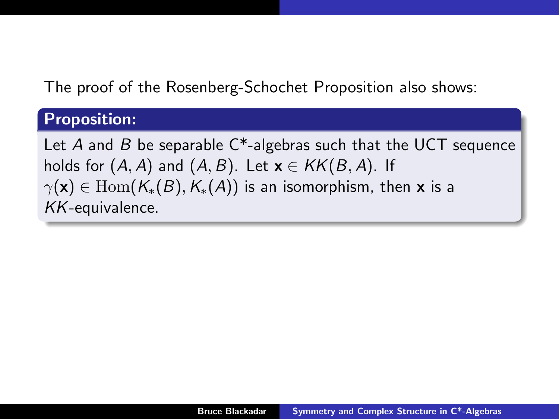The proof of the Rosenberg-Schochet Proposition also shows:

#### Proposition:

Let A and B be separable  $C^*$ -algebras such that the UCT sequence holds for  $(A, A)$  and  $(A, B)$ . Let  $\mathbf{x} \in KK(B, A)$ . If  $\gamma(\mathbf{x}) \in \text{Hom}(K_*(B), K_*(A))$  is an isomorphism, then x is a KK-equivalence.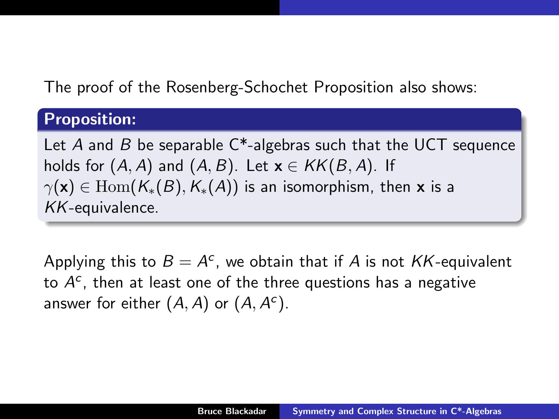The proof of the Rosenberg-Schochet Proposition also shows:

#### Proposition:

Let A and B be separable  $C^*$ -algebras such that the UCT sequence holds for  $(A, A)$  and  $(A, B)$ . Let  $\mathbf{x} \in KK(B, A)$ . If  $\gamma(\mathbf{x}) \in \text{Hom}(K_*(B), K_*(A))$  is an isomorphism, then x is a KK-equivalence.

Applying this to  $B = A^c$ , we obtain that if A is not KK-equivalent to  $A^c$ , then at least one of the three questions has a negative answer for either  $(A, A)$  or  $(A, A<sup>c</sup>)$ .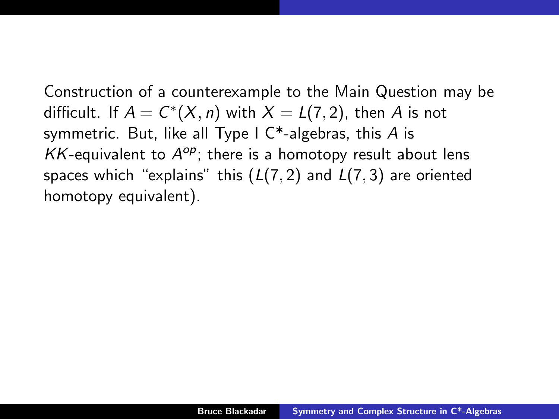Construction of a counterexample to the Main Question may be difficult. If  $A = C^*(X, n)$  with  $X = L(7, 2)$ , then  $A$  is not symmetric. But, like all Type I  $C^*$ -algebras, this A is  $KK$ -equivalent to  $A^{op}$ ; there is a homotopy result about lens spaces which "explains" this  $(L(7, 2)$  and  $L(7, 3)$  are oriented homotopy equivalent).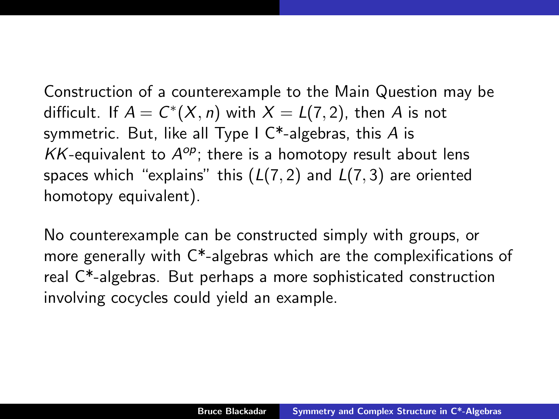Construction of a counterexample to the Main Question may be difficult. If  $A = C^*(X, n)$  with  $X = L(7, 2)$ , then  $A$  is not symmetric. But, like all Type I  $C^*$ -algebras, this A is  $KK$ -equivalent to  $A^{op}$ ; there is a homotopy result about lens spaces which "explains" this  $(L(7, 2)$  and  $L(7, 3)$  are oriented homotopy equivalent).

No counterexample can be constructed simply with groups, or more generally with C\*-algebras which are the complexifications of real C\*-algebras. But perhaps a more sophisticated construction involving cocycles could yield an example.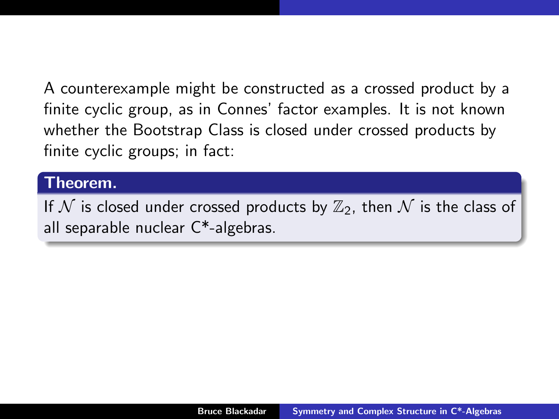A counterexample might be constructed as a crossed product by a finite cyclic group, as in Connes' factor examples. It is not known whether the Bootstrap Class is closed under crossed products by finite cyclic groups; in fact:

#### Theorem.

If  $N$  is closed under crossed products by  $\mathbb{Z}_2$ , then  $N$  is the class of all separable nuclear C\*-algebras.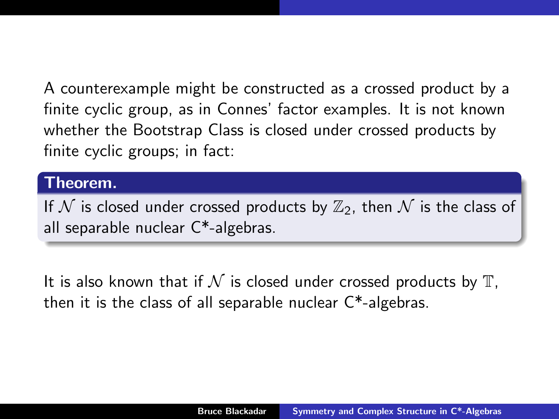A counterexample might be constructed as a crossed product by a finite cyclic group, as in Connes' factor examples. It is not known whether the Bootstrap Class is closed under crossed products by finite cyclic groups; in fact:

#### Theorem.

If  $N$  is closed under crossed products by  $\mathbb{Z}_2$ , then  $N$  is the class of all separable nuclear C\*-algebras.

It is also known that if  $\mathcal N$  is closed under crossed products by  $\mathbb T$ , then it is the class of all separable nuclear C\*-algebras.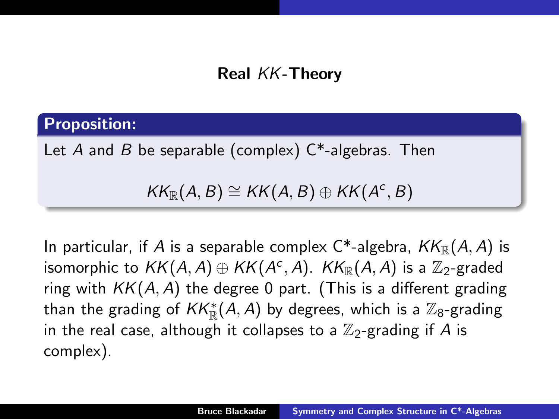# Real KK-Theory

#### Proposition:

Let A and B be separable (complex)  $C^*$ -algebras. Then

 $KK_{\mathbb{R}}(A, B) \cong KK(A, B) \oplus KK(A^c, B)$ 

In particular, if A is a separable complex  $C^*$ -algebra,  $KK_{\mathbb{R}}(A, A)$  is isomorphic to  $\mathit{KK}(A,A)\oplus \mathit{KK}(A^c,A)$ .  $\mathit{KK}_{\mathbb R}(A,A)$  is a  $\mathbb Z_2$ -graded ring with  $KK(A, A)$  the degree 0 part. (This is a different grading than the grading of  $\mathit{KK}^*_\mathbb{R}(A,A)$  by degrees, which is a  $\mathbb{Z}_8$ -grading in the real case, although it collapses to a  $\mathbb{Z}_2$ -grading if A is complex).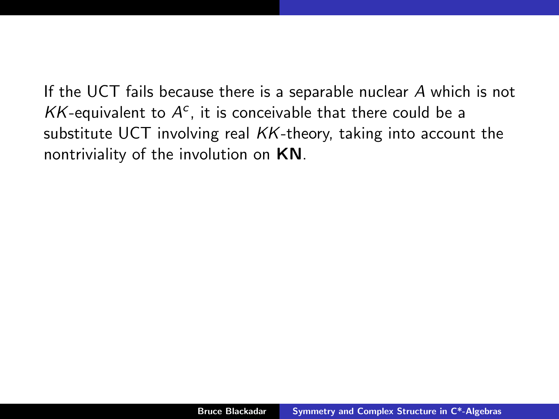If the UCT fails because there is a separable nuclear A which is not  $KK$ -equivalent to  $A^c$ , it is conceivable that there could be a substitute UCT involving real KK-theory, taking into account the nontriviality of the involution on KN.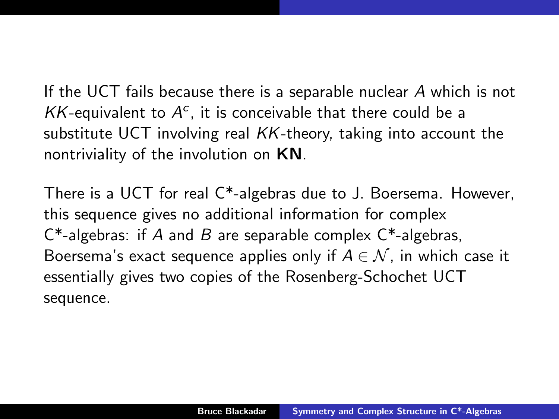If the UCT fails because there is a separable nuclear A which is not  $KK$ -equivalent to  $A^c$ , it is conceivable that there could be a substitute UCT involving real KK-theory, taking into account the nontriviality of the involution on KN.

There is a UCT for real C\*-algebras due to J. Boersema. However, this sequence gives no additional information for complex  $C^*$ -algebras: if A and B are separable complex  $C^*$ -algebras, Boersema's exact sequence applies only if  $A \in \mathcal{N}$ , in which case it essentially gives two copies of the Rosenberg-Schochet UCT sequence.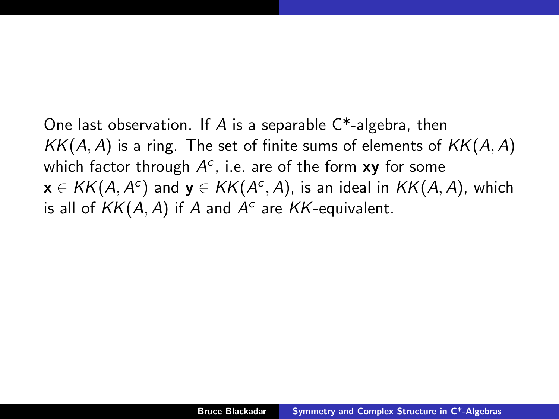One last observation. If A is a separable  $C^*$ -algebra, then  $KK(A, A)$  is a ring. The set of finite sums of elements of  $KK(A, A)$ which factor through  $A^c$ , i.e. are of the form  $xy$  for some  $\mathbf{x}\in \mathcal{KK}(A,A^c)$  and  $\mathbf{y}\in \mathcal{KK}(A^c,A)$ , is an ideal in  $\mathcal{KK}(A,A)$ , which is all of  $KK(A, A)$  if A and  $A<sup>c</sup>$  are KK-equivalent.